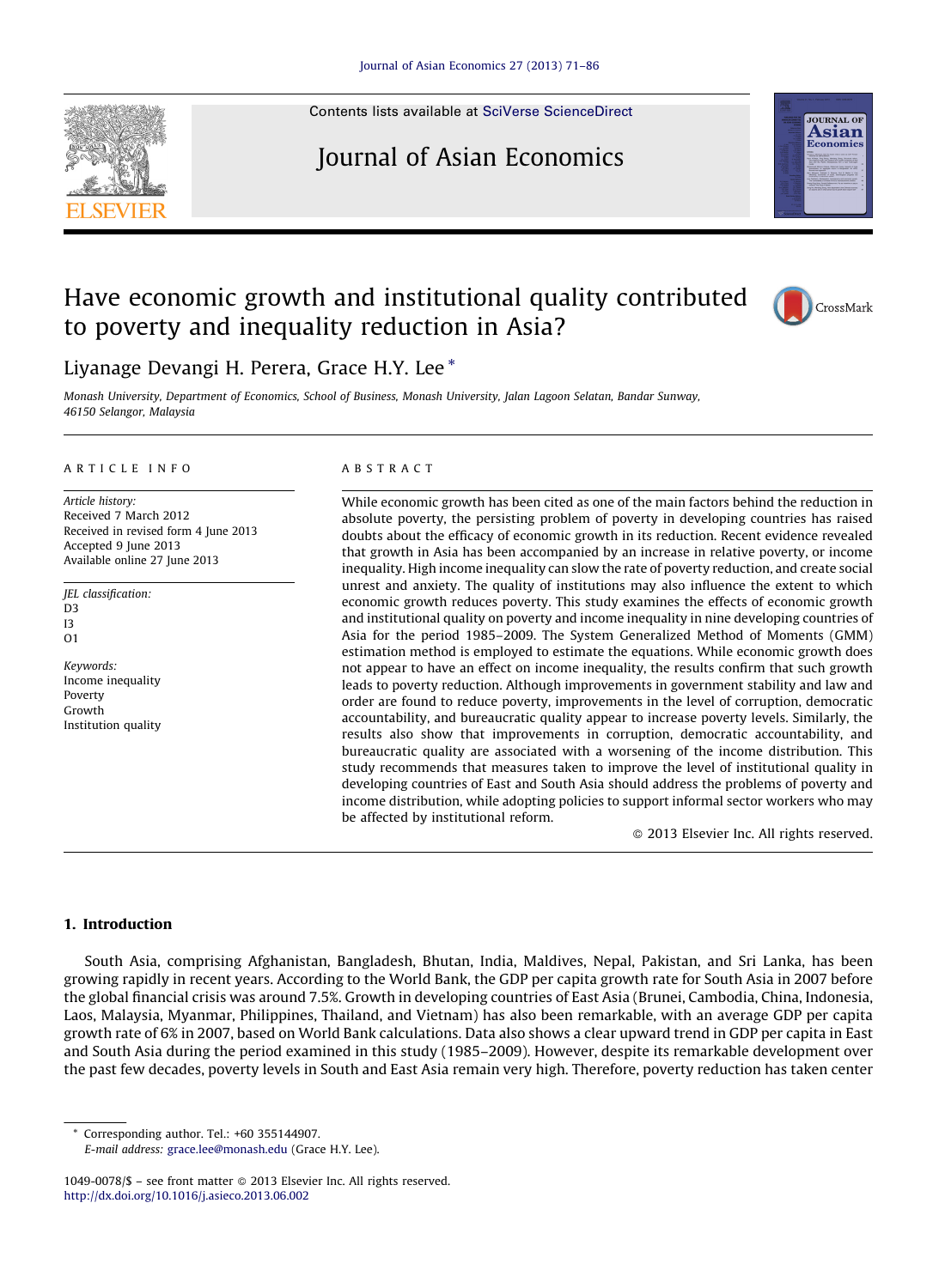Contents lists available at SciVerse [ScienceDirect](http://www.sciencedirect.com/science/journal/10490078)

# Journal of Asian Economics

## Have economic growth and institutional quality contributed to poverty and inequality reduction in Asia?



Monash University, Department of Economics, School of Business, Monash University, Jalan Lagoon Selatan, Bandar Sunway, 46150 Selangor, Malaysia

### A R T I C L E I N F O

Article history: Received 7 March 2012 Received in revised form 4 June 2013 Accepted 9 June 2013 Available online 27 June 2013

- JEL classification: D3 I3 O1
- Keywords: Income inequality Poverty Growth Institution quality

#### A B S T R A C T

While economic growth has been cited as one of the main factors behind the reduction in absolute poverty, the persisting problem of poverty in developing countries has raised doubts about the efficacy of economic growth in its reduction. Recent evidence revealed that growth in Asia has been accompanied by an increase in relative poverty, or income inequality. High income inequality can slow the rate of poverty reduction, and create social unrest and anxiety. The quality of institutions may also influence the extent to which economic growth reduces poverty. This study examines the effects of economic growth and institutional quality on poverty and income inequality in nine developing countries of Asia for the period 1985–2009. The System Generalized Method of Moments (GMM) estimation method is employed to estimate the equations. While economic growth does not appear to have an effect on income inequality, the results confirm that such growth leads to poverty reduction. Although improvements in government stability and law and order are found to reduce poverty, improvements in the level of corruption, democratic accountability, and bureaucratic quality appear to increase poverty levels. Similarly, the results also show that improvements in corruption, democratic accountability, and bureaucratic quality are associated with a worsening of the income distribution. This study recommends that measures taken to improve the level of institutional quality in developing countries of East and South Asia should address the problems of poverty and income distribution, while adopting policies to support informal sector workers who may be affected by institutional reform.

- 2013 Elsevier Inc. All rights reserved.

### 1. Introduction

South Asia, comprising Afghanistan, Bangladesh, Bhutan, India, Maldives, Nepal, Pakistan, and Sri Lanka, has been growing rapidly in recent years. According to the World Bank, the GDP per capita growth rate for South Asia in 2007 before the global financial crisis was around 7.5%. Growth in developing countries of East Asia (Brunei, Cambodia, China, Indonesia, Laos, Malaysia, Myanmar, Philippines, Thailand, and Vietnam) has also been remarkable, with an average GDP per capita growth rate of 6% in 2007, based on World Bank calculations. Data also shows a clear upward trend in GDP per capita in East and South Asia during the period examined in this study (1985–2009). However, despite its remarkable development over the past few decades, poverty levels in South and East Asia remain very high. Therefore, poverty reduction has taken center

Corresponding author. Tel.: +60 355144907.

E-mail address: [grace.lee@monash.edu](mailto:grace.lee@monash.edu) (Grace H.Y. Lee).







<sup>1049-0078/\$ –</sup> see front matter © 2013 Elsevier Inc. All rights reserved. <http://dx.doi.org/10.1016/j.asieco.2013.06.002>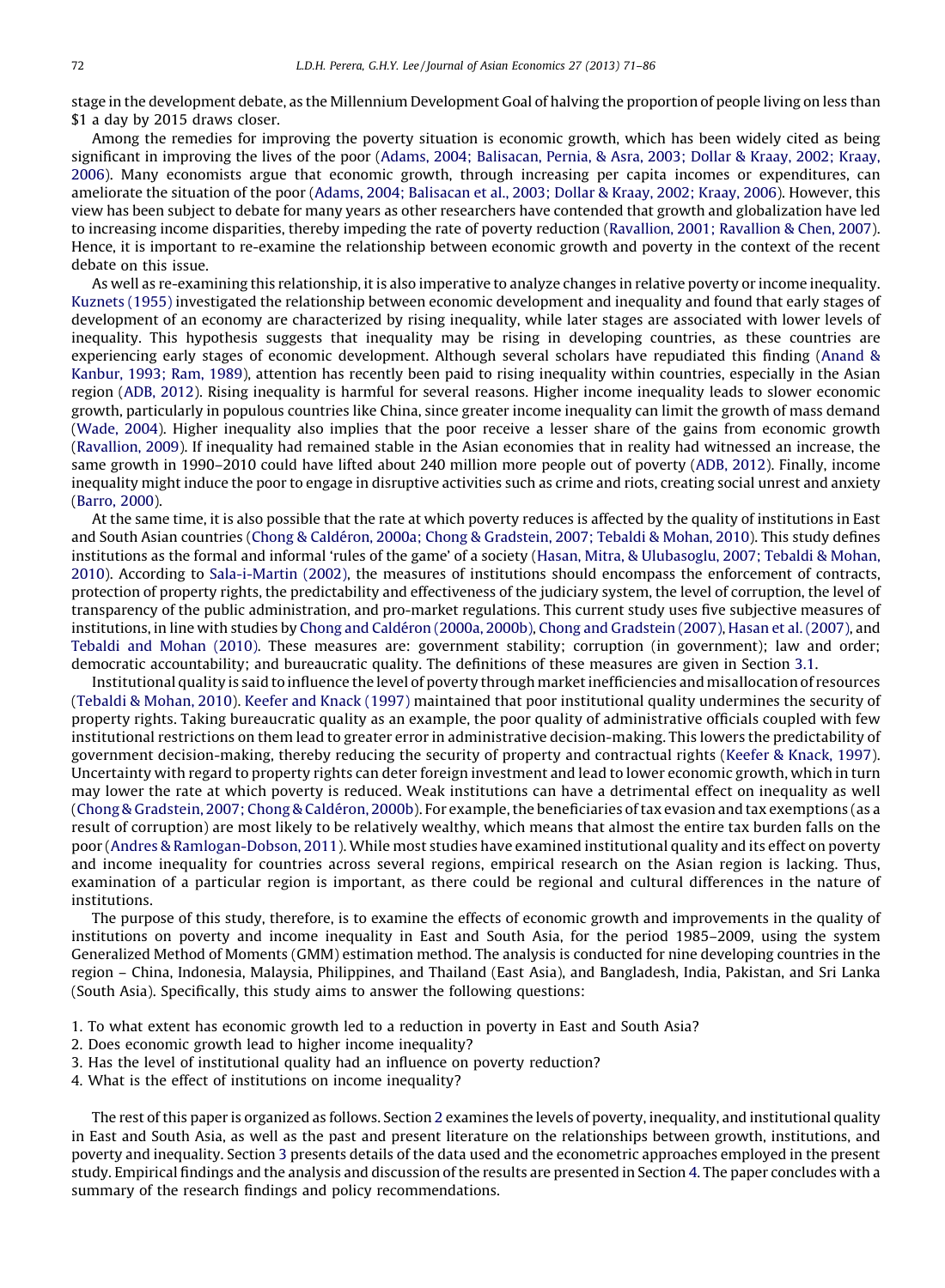stage in the development debate, as the Millennium Development Goal of halving the proportion of people living on less than \$1 a day by 2015 draws closer.

Among the remedies for improving the poverty situation is economic growth, which has been widely cited as being significant in improving the lives of the poor (Adams, 2004; [Balisacan,](#page--1-0) Pernia, & Asra, 2003; Dollar & Kraay, 2002; Kraay, [2006](#page--1-0)). Many economists argue that economic growth, through increasing per capita incomes or expenditures, can ameliorate the situation of the poor (Adams, 2004; [Balisacan](#page--1-0) et al., 2003; Dollar & Kraay, 2002; Kraay, 2006). However, this view has been subject to debate for many years as other researchers have contended that growth and globalization have led to increasing income disparities, thereby impeding the rate of poverty reduction [\(Ravallion,](#page--1-0) 2001; Ravallion & Chen, 2007). Hence, it is important to re-examine the relationship between economic growth and poverty in the context of the recent debate on this issue.

As well as re-examining this relationship, it is also imperative to analyze changes in relative poverty or income inequality. [Kuznets](#page--1-0) (1955) investigated the relationship between economic development and inequality and found that early stages of development of an economy are characterized by rising inequality, while later stages are associated with lower levels of inequality. This hypothesis suggests that inequality may be rising in developing countries, as these countries are experiencing early stages of economic development. Although several scholars have repudiated this finding [\(Anand](#page--1-0) & [Kanbur,](#page--1-0) 1993; Ram, 1989), attention has recently been paid to rising inequality within countries, especially in the Asian region (ADB, [2012\)](#page--1-0). Rising inequality is harmful for several reasons. Higher income inequality leads to slower economic growth, particularly in populous countries like China, since greater income inequality can limit the growth of mass demand [\(Wade,](#page--1-0) 2004). Higher inequality also implies that the poor receive a lesser share of the gains from economic growth [\(Ravallion,](#page--1-0) 2009). If inequality had remained stable in the Asian economies that in reality had witnessed an increase, the same growth in 1990–2010 could have lifted about 240 million more people out of poverty (ADB, [2012](#page--1-0)). Finally, income inequality might induce the poor to engage in disruptive activities such as crime and riots, creating social unrest and anxiety [\(Barro,](#page--1-0) 2000).

At the same time, it is also possible that the rate at which poverty reduces is affected by the quality of institutions in East and South Asian countries (Chong & Caldéron, 2000a; Chong & [Gradstein,](#page--1-0) 2007; Tebaldi & Mohan, 2010). This study defines institutions as the formal and informal 'rules of the game' of a society (Hasan, Mitra, & [Ulubasoglu,](#page--1-0) 2007; Tebaldi & Mohan, [2010](#page--1-0)). According to [Sala-i-Martin](#page--1-0) (2002), the measures of institutions should encompass the enforcement of contracts, protection of property rights, the predictability and effectiveness of the judiciary system, the level of corruption, the level of transparency of the public administration, and pro-market regulations. This current study uses five subjective measures of institutions, in line with studies by Chong and Caldéron [\(2000a,](#page--1-0) 2000b), Chong and [Gradstein](#page--1-0) [\(2007\),](#page--1-0) Hasan et al. (2007), and [Tebaldi](#page--1-0) and Mohan (2010). These measures are: government stability; corruption (in government); law and order; democratic accountability; and bureaucratic quality. The definitions of these measures are given in Section [3.1.](#page--1-0)

Institutional quality is said to influence the level of poverty through marketinefficiencies and misallocation of resources (Tebaldi & [Mohan,](#page--1-0) 2010). Keefer and Knack [\(1997\)](#page--1-0) maintained that poor institutional quality undermines the security of property rights. Taking bureaucratic quality as an example, the poor quality of administrative officials coupled with few institutional restrictions on them lead to greater error in administrative decision-making. This lowers the predictability of government decision-making, thereby reducing the security of property and contractual rights (Keefer & [Knack,](#page--1-0) 1997). Uncertainty with regard to property rights can deter foreign investment and lead to lower economic growth, which in turn may lower the rate at which poverty is reduced. Weak institutions can have a detrimental effect on inequality as well (Chong & Gradstein, 2007; Chong & Caldéron, 2000b). For example, the beneficiaries of tax evasion and tax exemptions (as a result of corruption) are most likely to be relatively wealthy, which means that almost the entire tax burden falls on the poor (Andres & [Ramlogan-Dobson,](#page--1-0) 2011). While most studies have examined institutional quality and its effect on poverty and income inequality for countries across several regions, empirical research on the Asian region is lacking. Thus, examination of a particular region is important, as there could be regional and cultural differences in the nature of institutions.

The purpose of this study, therefore, is to examine the effects of economic growth and improvements in the quality of institutions on poverty and income inequality in East and South Asia, for the period 1985–2009, using the system Generalized Method of Moments (GMM) estimation method. The analysis is conducted for nine developing countries in the region – China, Indonesia, Malaysia, Philippines, and Thailand (East Asia), and Bangladesh, India, Pakistan, and Sri Lanka (South Asia). Specifically, this study aims to answer the following questions:

- 1. To what extent has economic growth led to a reduction in poverty in East and South Asia?
- 2. Does economic growth lead to higher income inequality?
- 3. Has the level of institutional quality had an influence on poverty reduction?
- 4. What is the effect of institutions on income inequality?

The rest of this paper is organized as follows. Section [2](#page--1-0) examines the levels of poverty, inequality, and institutional quality in East and South Asia, as well as the past and present literature on the relationships between growth, institutions, and poverty and inequality. Section [3](#page--1-0) presents details of the data used and the econometric approaches employed in the present study. Empirical findings and the analysis and discussion ofthe results are presented in Section [4.](#page--1-0) The paper concludes with a summary of the research findings and policy recommendations.